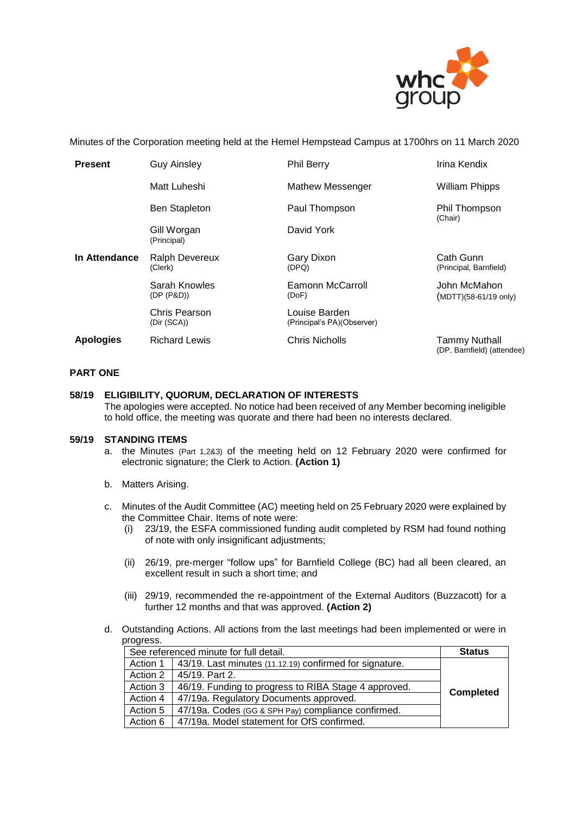

Minutes of the Corporation meeting held at the Hemel Hempstead Campus at 1700hrs on 11 March 2020

| <b>Present</b>   | <b>Guy Ainsley</b>               | <b>Phil Berry</b>                           | Irina Kendix                                       |
|------------------|----------------------------------|---------------------------------------------|----------------------------------------------------|
|                  | Matt Luheshi                     | <b>Mathew Messenger</b>                     | <b>William Phipps</b>                              |
|                  | <b>Ben Stapleton</b>             | Paul Thompson                               | Phil Thompson<br>(Chair)                           |
|                  | Gill Worgan<br>(Principal)       | David York                                  |                                                    |
| In Attendance    | <b>Ralph Devereux</b><br>(Clerk) | Gary Dixon<br>(DPQ)                         | Cath Gunn<br>(Principal, Barnfield)                |
|                  | Sarah Knowles<br>(DP (P&D))      | Eamonn McCarroll<br>(DoF)                   | John McMahon<br>$(MDTT)(58-61/19 \text{ only})$    |
|                  | Chris Pearson<br>(Dir (SCA))     | Louise Barden<br>(Principal's PA)(Observer) |                                                    |
| <b>Apologies</b> | <b>Richard Lewis</b>             | <b>Chris Nicholls</b>                       | <b>Tammy Nuthall</b><br>(DP, Barnfield) (attendee) |

# **PART ONE**

#### **58/19 ELIGIBILITY, QUORUM, DECLARATION OF INTERESTS**

The apologies were accepted. No notice had been received of any Member becoming ineligible to hold office, the meeting was quorate and there had been no interests declared.

#### **59/19 STANDING ITEMS**

- a. the Minutes (Part 1,2&3) of the meeting held on 12 February 2020 were confirmed for electronic signature; the Clerk to Action. **(Action 1)**
- b. Matters Arising.
- c. Minutes of the Audit Committee (AC) meeting held on 25 February 2020 were explained by the Committee Chair. Items of note were:
	- (i) 23/19, the ESFA commissioned funding audit completed by RSM had found nothing of note with only insignificant adjustments;
	- (ii) 26/19, pre-merger "follow ups" for Barnfield College (BC) had all been cleared, an excellent result in such a short time; and
	- (iii) 29/19, recommended the re-appointment of the External Auditors (Buzzacott) for a further 12 months and that was approved. **(Action 2)**
- d. Outstanding Actions. All actions from the last meetings had been implemented or were in progress.

| See referenced minute for full detail. |                                                         | <b>Status</b>    |
|----------------------------------------|---------------------------------------------------------|------------------|
| Action 1                               | 43/19. Last minutes (11.12.19) confirmed for signature. |                  |
| Action 2                               | 45/19. Part 2.                                          |                  |
| Action 3                               | 46/19. Funding to progress to RIBA Stage 4 approved.    | <b>Completed</b> |
| Action 4                               | 47/19a. Regulatory Documents approved.                  |                  |
| Action 5                               | 47/19a. Codes (GG & SPH Pay) compliance confirmed.      |                  |
| Action 6                               | 47/19a. Model statement for OfS confirmed.              |                  |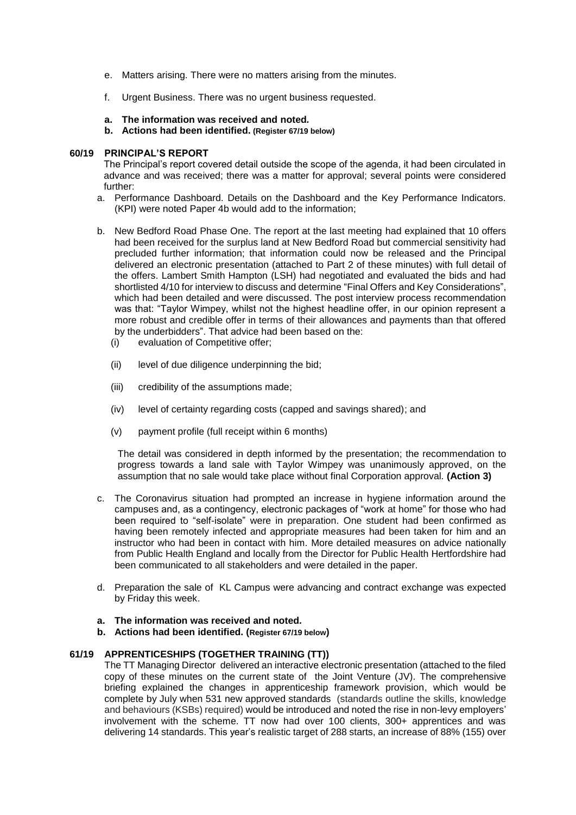- e. Matters arising. There were no matters arising from the minutes.
- f. Urgent Business. There was no urgent business requested.
- **a. The information was received and noted***.*
- **b. Actions had been identified. (Register 67/19 below)**

# **60/19 PRINCIPAL'S REPORT**

The Principal's report covered detail outside the scope of the agenda, it had been circulated in advance and was received; there was a matter for approval; several points were considered further:

- a. Performance Dashboard. Details on the Dashboard and the Key Performance Indicators. (KPI) were noted Paper 4b would add to the information;
- b. New Bedford Road Phase One. The report at the last meeting had explained that 10 offers had been received for the surplus land at New Bedford Road but commercial sensitivity had precluded further information; that information could now be released and the Principal delivered an electronic presentation (attached to Part 2 of these minutes) with full detail of the offers. Lambert Smith Hampton (LSH) had negotiated and evaluated the bids and had shortlisted 4/10 for interview to discuss and determine "Final Offers and Key Considerations", which had been detailed and were discussed. The post interview process recommendation was that: "Taylor Wimpey, whilst not the highest headline offer, in our opinion represent a more robust and credible offer in terms of their allowances and payments than that offered by the underbidders". That advice had been based on the:
	- (i) evaluation of Competitive offer;
	- (ii) level of due diligence underpinning the bid;
	- (iii) credibility of the assumptions made;
	- (iv) level of certainty regarding costs (capped and savings shared); and
	- (v) payment profile (full receipt within 6 months)

The detail was considered in depth informed by the presentation; the recommendation to progress towards a land sale with Taylor Wimpey was unanimously approved, on the assumption that no sale would take place without final Corporation approval. **(Action 3)** 

- c. The Coronavirus situation had prompted an increase in hygiene information around the campuses and, as a contingency, electronic packages of "work at home" for those who had been required to "self-isolate" were in preparation. One student had been confirmed as having been remotely infected and appropriate measures had been taken for him and an instructor who had been in contact with him. More detailed measures on advice nationally from Public Health England and locally from the Director for Public Health Hertfordshire had been communicated to all stakeholders and were detailed in the paper.
- d. Preparation the sale of KL Campus were advancing and contract exchange was expected by Friday this week.
- **a. The information was received and noted***.*
- **b. Actions had been identified. (Register 67/19 below)**

# **61/19 APPRENTICESHIPS (TOGETHER TRAINING (TT))**

The TT Managing Director delivered an interactive electronic presentation (attached to the filed copy of these minutes on the current state of the Joint Venture (JV). The comprehensive briefing explained the changes in apprenticeship framework provision, which would be complete by July when 531 new approved standards (standards outline the skills, knowledge and behaviours (KSBs) required) would be introduced and noted the rise in non-levy employers' involvement with the scheme. TT now had over 100 clients, 300+ apprentices and was delivering 14 standards. This year's realistic target of 288 starts, an increase of 88% (155) over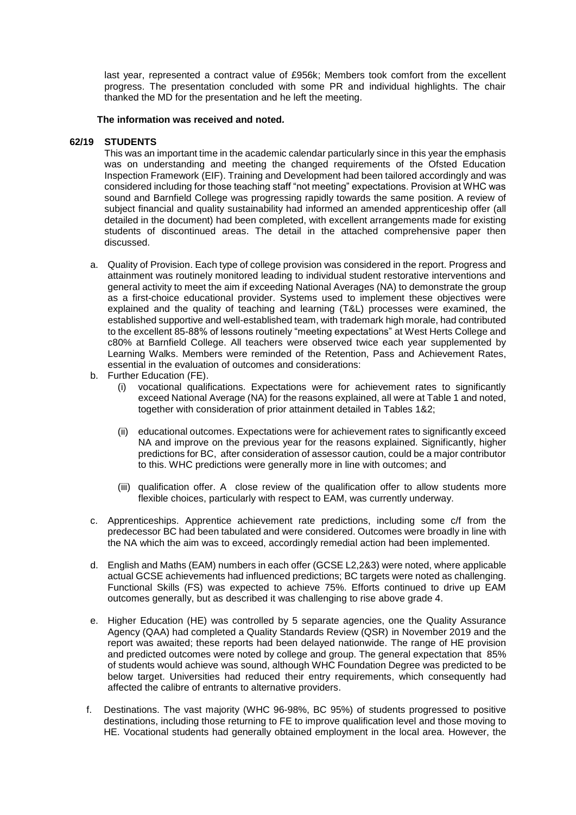last year, represented a contract value of £956k; Members took comfort from the excellent progress. The presentation concluded with some PR and individual highlights. The chair thanked the MD for the presentation and he left the meeting.

#### **The information was received and noted***.*

#### **62/19 STUDENTS**

This was an important time in the academic calendar particularly since in this year the emphasis was on understanding and meeting the changed requirements of the Ofsted Education Inspection Framework (EIF). Training and Development had been tailored accordingly and was considered including for those teaching staff "not meeting" expectations. Provision at WHC was sound and Barnfield College was progressing rapidly towards the same position. A review of subject financial and quality sustainability had informed an amended apprenticeship offer (all detailed in the document) had been completed, with excellent arrangements made for existing students of discontinued areas. The detail in the attached comprehensive paper then discussed.

- a. Quality of Provision. Each type of college provision was considered in the report. Progress and attainment was routinely monitored leading to individual student restorative interventions and general activity to meet the aim if exceeding National Averages (NA) to demonstrate the group as a first-choice educational provider. Systems used to implement these objectives were explained and the quality of teaching and learning (T&L) processes were examined, the established supportive and well-established team, with trademark high morale, had contributed to the excellent 85-88% of lessons routinely "meeting expectations" at West Herts College and c80% at Barnfield College. All teachers were observed twice each year supplemented by Learning Walks. Members were reminded of the Retention, Pass and Achievement Rates, essential in the evaluation of outcomes and considerations:
- b. Further Education (FE).
	- (i) vocational qualifications. Expectations were for achievement rates to significantly exceed National Average (NA) for the reasons explained, all were at Table 1 and noted, together with consideration of prior attainment detailed in Tables 1&2;
	- (ii) educational outcomes. Expectations were for achievement rates to significantly exceed NA and improve on the previous year for the reasons explained. Significantly, higher predictions for BC, after consideration of assessor caution, could be a major contributor to this. WHC predictions were generally more in line with outcomes; and
	- (iii) qualification offer. A close review of the qualification offer to allow students more flexible choices, particularly with respect to EAM, was currently underway.
- c. Apprenticeships. Apprentice achievement rate predictions, including some c/f from the predecessor BC had been tabulated and were considered. Outcomes were broadly in line with the NA which the aim was to exceed, accordingly remedial action had been implemented.
- d. English and Maths (EAM) numbers in each offer (GCSE L2,2&3) were noted, where applicable actual GCSE achievements had influenced predictions; BC targets were noted as challenging. Functional Skills (FS) was expected to achieve 75%. Efforts continued to drive up EAM outcomes generally, but as described it was challenging to rise above grade 4.
- e. Higher Education (HE) was controlled by 5 separate agencies, one the Quality Assurance Agency (QAA) had completed a Quality Standards Review (QSR) in November 2019 and the report was awaited; these reports had been delayed nationwide. The range of HE provision and predicted outcomes were noted by college and group. The general expectation that 85% of students would achieve was sound, although WHC Foundation Degree was predicted to be below target. Universities had reduced their entry requirements, which consequently had affected the calibre of entrants to alternative providers.
- f. Destinations. The vast majority (WHC 96-98%, BC 95%) of students progressed to positive destinations, including those returning to FE to improve qualification level and those moving to HE. Vocational students had generally obtained employment in the local area. However, the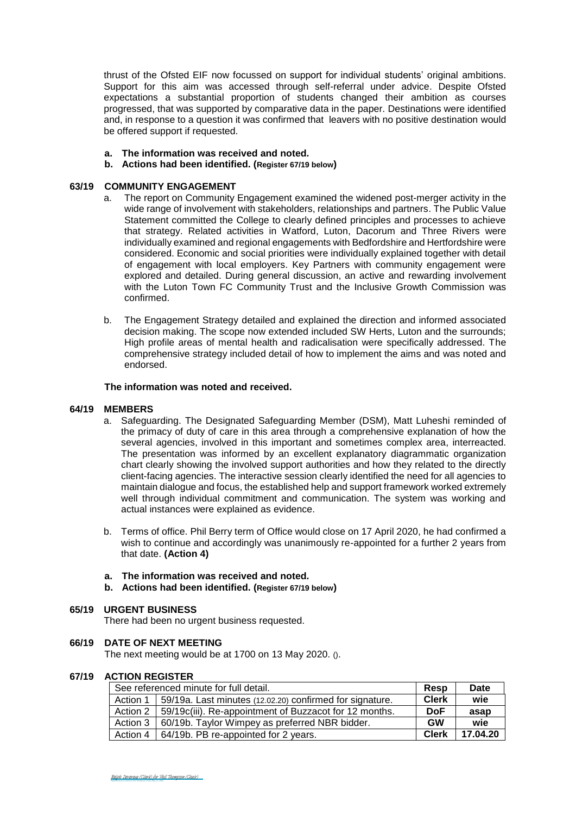thrust of the Ofsted EIF now focussed on support for individual students' original ambitions. Support for this aim was accessed through self-referral under advice. Despite Ofsted expectations a substantial proportion of students changed their ambition as courses progressed, that was supported by comparative data in the paper. Destinations were identified and, in response to a question it was confirmed that leavers with no positive destination would be offered support if requested.

- **a. The information was received and noted***.*
- **b. Actions had been identified. (Register 67/19 below)**

# **63/19 COMMUNITY ENGAGEMENT**

- a. The report on Community Engagement examined the widened post-merger activity in the wide range of involvement with stakeholders, relationships and partners. The Public Value Statement committed the College to clearly defined principles and processes to achieve that strategy. Related activities in Watford, Luton, Dacorum and Three Rivers were individually examined and regional engagements with Bedfordshire and Hertfordshire were considered. Economic and social priorities were individually explained together with detail of engagement with local employers. Key Partners with community engagement were explored and detailed. During general discussion, an active and rewarding involvement with the Luton Town FC Community Trust and the Inclusive Growth Commission was confirmed.
- b. The Engagement Strategy detailed and explained the direction and informed associated decision making. The scope now extended included SW Herts, Luton and the surrounds; High profile areas of mental health and radicalisation were specifically addressed. The comprehensive strategy included detail of how to implement the aims and was noted and endorsed.

# **The information was noted and received.**

# **64/19 MEMBERS**

- a. Safeguarding. The Designated Safeguarding Member (DSM), Matt Luheshi reminded of the primacy of duty of care in this area through a comprehensive explanation of how the several agencies, involved in this important and sometimes complex area, interreacted. The presentation was informed by an excellent explanatory diagrammatic organization chart clearly showing the involved support authorities and how they related to the directly client-facing agencies. The interactive session clearly identified the need for all agencies to maintain dialogue and focus, the established help and support framework worked extremely well through individual commitment and communication. The system was working and actual instances were explained as evidence.
- b. Terms of office. Phil Berry term of Office would close on 17 April 2020, he had confirmed a wish to continue and accordingly was unanimously re-appointed for a further 2 years from that date. **(Action 4)**
- **a. The information was received and noted***.*
- **b. Actions had been identified. (Register 67/19 below)**

# **65/19 URGENT BUSINESS**

There had been no urgent business requested.

#### **66/19 DATE OF NEXT MEETING**

The next meeting would be at 1700 on 13 May 2020. ().

#### **67/19 ACTION REGISTER**

| See referenced minute for full detail. |                                                          | Resp         | Date     |
|----------------------------------------|----------------------------------------------------------|--------------|----------|
| Action 1                               | 59/19a. Last minutes (12.02.20) confirmed for signature. | <b>Clerk</b> | wie      |
| Action 2                               | 59/19c(iii). Re-appointment of Buzzacot for 12 months.   | <b>DoF</b>   | asap     |
| Action 3                               | 60/19b. Taylor Wimpey as preferred NBR bidder.           | GW           | wie      |
| Action 4                               | 64/19b. PB re-appointed for 2 years.                     | <b>Clerk</b> | 17.04.20 |